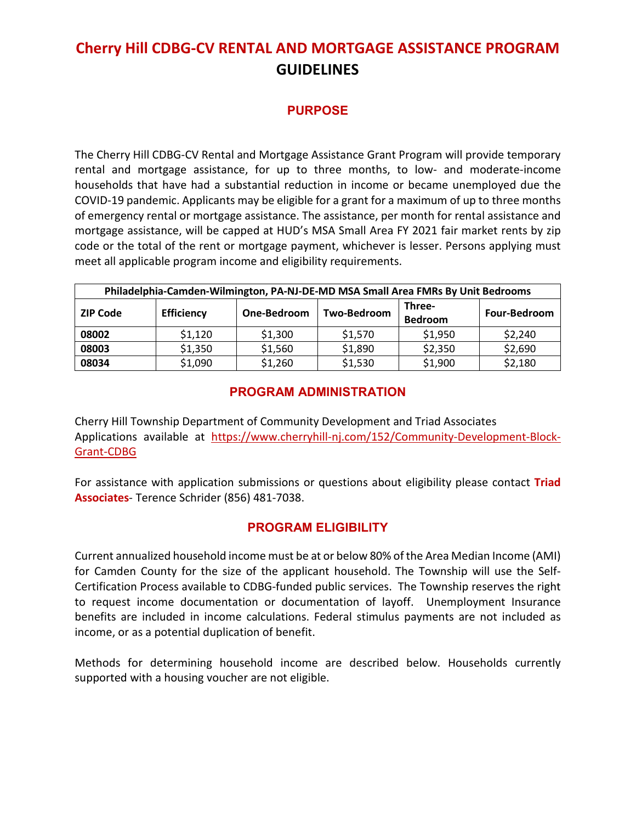# **Cherry Hill CDBG-CV RENTAL AND MORTGAGE ASSISTANCE PROGRAM GUIDELINES**

#### **PURPOSE**

The Cherry Hill CDBG-CV Rental and Mortgage Assistance Grant Program will provide temporary rental and mortgage assistance, for up to three months, to low- and moderate-income households that have had a substantial reduction in income or became unemployed due the COVID-19 pandemic. Applicants may be eligible for a grant for a maximum of up to three months of emergency rental or mortgage assistance. The assistance, per month for rental assistance and mortgage assistance, will be capped at HUD's MSA Small Area FY 2021 fair market rents by zip code or the total of the rent or mortgage payment, whichever is lesser. Persons applying must meet all applicable program income and eligibility requirements.

| Philadelphia-Camden-Wilmington, PA-NJ-DE-MD MSA Small Area FMRs By Unit Bedrooms |                   |             |             |                          |                     |
|----------------------------------------------------------------------------------|-------------------|-------------|-------------|--------------------------|---------------------|
| <b>ZIP Code</b>                                                                  | <b>Efficiency</b> | One-Bedroom | Two-Bedroom | Three-<br><b>Bedroom</b> | <b>Four-Bedroom</b> |
| 08002                                                                            | \$1,120           | \$1,300     | \$1,570     | \$1,950                  | \$2,240             |
| 08003                                                                            | \$1,350           | \$1,560     | \$1,890     | \$2,350                  | \$2,690             |
| 08034                                                                            | \$1,090           | \$1,260     | \$1,530     | \$1,900                  | \$2,180             |

#### **PROGRAM ADMINISTRATION**

Cherry Hill Township Department of Community Development and Triad Associates Applications available at [https://www.cherryhill-nj.com/152/Community-Development-Block-](https://www.cherryhill-nj.com/152/Community-Development-Block-Grant-CDBG)[Grant-CDBG](https://www.cherryhill-nj.com/152/Community-Development-Block-Grant-CDBG)

For assistance with application submissions or questions about eligibility please contact **Triad Associates**- Terence Schrider (856) 481-7038.

#### **PROGRAM ELIGIBILITY**

Current annualized household income must be at or below 80% of the Area Median Income (AMI) for Camden County for the size of the applicant household. The Township will use the Self-Certification Process available to CDBG-funded public services. The Township reserves the right to request income documentation or documentation of layoff. Unemployment Insurance benefits are included in income calculations. Federal stimulus payments are not included as income, or as a potential duplication of benefit.

Methods for determining household income are described below. Households currently supported with a housing voucher are not eligible.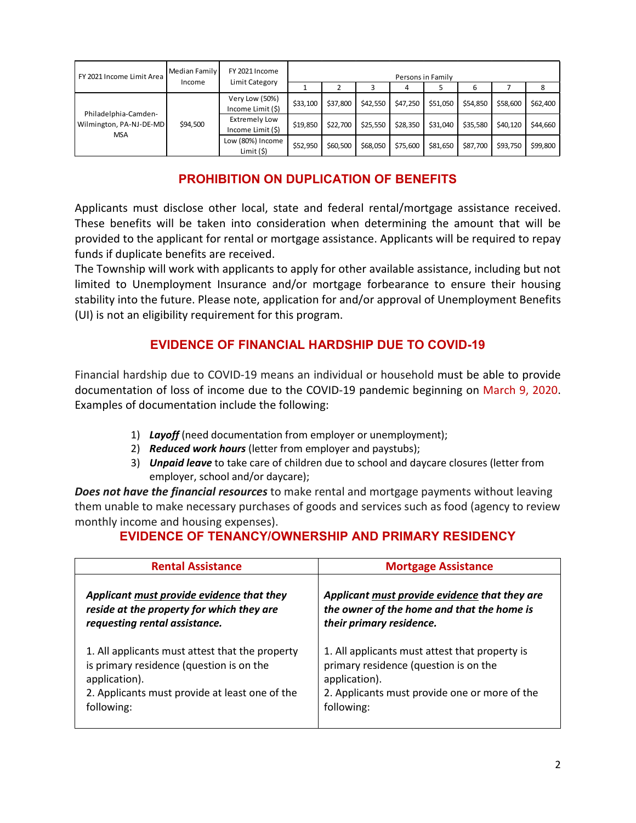| FY 2021 Income Limit Area                                     | Median Family<br>Income | FY 2021 Income<br>Limit Category          |          | Persons in Family |          |          |          |          |          |          |
|---------------------------------------------------------------|-------------------------|-------------------------------------------|----------|-------------------|----------|----------|----------|----------|----------|----------|
|                                                               |                         |                                           |          |                   |          |          |          | 6        |          | 8        |
| Philadelphia-Camden-<br>Wilmington, PA-NJ-DE-MD<br><b>MSA</b> | \$94,500                | Very Low (50%)<br>Income Limit (\$)       | \$33,100 | \$37,800          | \$42,550 | \$47,250 | \$51,050 | \$54,850 | \$58,600 | \$62,400 |
|                                                               |                         | <b>Extremely Low</b><br>Income Limit (\$) | \$19,850 | \$22,700          | \$25,550 | \$28,350 | \$31,040 | \$35,580 | \$40,120 | \$44,660 |
|                                                               |                         | Low (80%) Income<br>Limit (5)             | \$52,950 | \$60,500          | \$68,050 | \$75,600 | \$81,650 | \$87,700 | \$93,750 | \$99,800 |

## **PROHIBITION ON DUPLICATION OF BENEFITS**

Applicants must disclose other local, state and federal rental/mortgage assistance received. These benefits will be taken into consideration when determining the amount that will be provided to the applicant for rental or mortgage assistance. Applicants will be required to repay funds if duplicate benefits are received.

The Township will work with applicants to apply for other available assistance, including but not limited to Unemployment Insurance and/or mortgage forbearance to ensure their housing stability into the future. Please note, application for and/or approval of Unemployment Benefits (UI) is not an eligibility requirement for this program.

## **EVIDENCE OF FINANCIAL HARDSHIP DUE TO COVID-19**

Financial hardship due to COVID-19 means an individual or household must be able to provide documentation of loss of income due to the COVID-19 pandemic beginning on March 9, 2020. Examples of documentation include the following:

- 1) *Layoff* (need documentation from employer or unemployment);
- 2) *Reduced work hours* (letter from employer and paystubs);
- 3) *Unpaid leave* to take care of children due to school and daycare closures (letter from employer, school and/or daycare);

*Does not have the financial resources* to make rental and mortgage payments without leaving them unable to make necessary purchases of goods and services such as food (agency to review monthly income and housing expenses).

## **EVIDENCE OF TENANCY/OWNERSHIP AND PRIMARY RESIDENCY**

| <b>Rental Assistance</b>                        | <b>Mortgage Assistance</b>                     |  |  |
|-------------------------------------------------|------------------------------------------------|--|--|
| Applicant must provide evidence that they       | Applicant must provide evidence that they are  |  |  |
| reside at the property for which they are       | the owner of the home and that the home is     |  |  |
| requesting rental assistance.                   | their primary residence.                       |  |  |
| 1. All applicants must attest that the property | 1. All applicants must attest that property is |  |  |
| is primary residence (question is on the        | primary residence (question is on the          |  |  |
| application).                                   | application).                                  |  |  |
| 2. Applicants must provide at least one of the  | 2. Applicants must provide one or more of the  |  |  |
| following:                                      | following:                                     |  |  |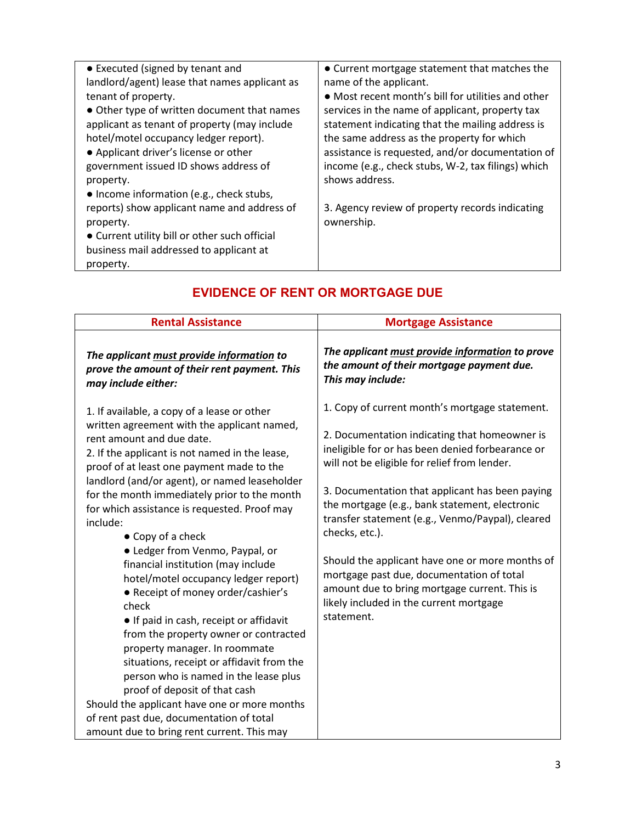| • Executed (signed by tenant and<br>landlord/agent) lease that names applicant as<br>tenant of property.<br>• Other type of written document that names<br>applicant as tenant of property (may include<br>hotel/motel occupancy ledger report).<br>• Applicant driver's license or other<br>government issued ID shows address of<br>property.<br>• Income information (e.g., check stubs, | • Current mortgage statement that matches the<br>name of the applicant.<br>• Most recent month's bill for utilities and other<br>services in the name of applicant, property tax<br>statement indicating that the mailing address is<br>the same address as the property for which<br>assistance is requested, and/or documentation of<br>income (e.g., check stubs, W-2, tax filings) which<br>shows address. |
|---------------------------------------------------------------------------------------------------------------------------------------------------------------------------------------------------------------------------------------------------------------------------------------------------------------------------------------------------------------------------------------------|----------------------------------------------------------------------------------------------------------------------------------------------------------------------------------------------------------------------------------------------------------------------------------------------------------------------------------------------------------------------------------------------------------------|
| reports) show applicant name and address of<br>property.<br>• Current utility bill or other such official<br>business mail addressed to applicant at<br>property.                                                                                                                                                                                                                           | 3. Agency review of property records indicating<br>ownership.                                                                                                                                                                                                                                                                                                                                                  |

## **EVIDENCE OF RENT OR MORTGAGE DUE**

| <b>Rental Assistance</b>                                                                                                                                                                                                                                                                                                                                                                                                                                                                                                                                                                                                                                                                                                                                                                                                                                                                                                                                       | <b>Mortgage Assistance</b>                                                                                                                                                                                                                                                                                                                                                                                                                                                                                                                                                               |  |  |
|----------------------------------------------------------------------------------------------------------------------------------------------------------------------------------------------------------------------------------------------------------------------------------------------------------------------------------------------------------------------------------------------------------------------------------------------------------------------------------------------------------------------------------------------------------------------------------------------------------------------------------------------------------------------------------------------------------------------------------------------------------------------------------------------------------------------------------------------------------------------------------------------------------------------------------------------------------------|------------------------------------------------------------------------------------------------------------------------------------------------------------------------------------------------------------------------------------------------------------------------------------------------------------------------------------------------------------------------------------------------------------------------------------------------------------------------------------------------------------------------------------------------------------------------------------------|--|--|
| The applicant must provide information to<br>prove the amount of their rent payment. This<br>may include either:                                                                                                                                                                                                                                                                                                                                                                                                                                                                                                                                                                                                                                                                                                                                                                                                                                               | The applicant must provide information to prove<br>the amount of their mortgage payment due.<br>This may include:                                                                                                                                                                                                                                                                                                                                                                                                                                                                        |  |  |
| 1. If available, a copy of a lease or other<br>written agreement with the applicant named,<br>rent amount and due date.<br>2. If the applicant is not named in the lease,<br>proof of at least one payment made to the<br>landlord (and/or agent), or named leaseholder<br>for the month immediately prior to the month<br>for which assistance is requested. Proof may<br>include:<br>• Copy of a check<br>• Ledger from Venmo, Paypal, or<br>financial institution (may include<br>hotel/motel occupancy ledger report)<br>• Receipt of money order/cashier's<br>check<br>• If paid in cash, receipt or affidavit<br>from the property owner or contracted<br>property manager. In roommate<br>situations, receipt or affidavit from the<br>person who is named in the lease plus<br>proof of deposit of that cash<br>Should the applicant have one or more months<br>of rent past due, documentation of total<br>amount due to bring rent current. This may | 1. Copy of current month's mortgage statement.<br>2. Documentation indicating that homeowner is<br>ineligible for or has been denied forbearance or<br>will not be eligible for relief from lender.<br>3. Documentation that applicant has been paying<br>the mortgage (e.g., bank statement, electronic<br>transfer statement (e.g., Venmo/Paypal), cleared<br>checks, etc.).<br>Should the applicant have one or more months of<br>mortgage past due, documentation of total<br>amount due to bring mortgage current. This is<br>likely included in the current mortgage<br>statement. |  |  |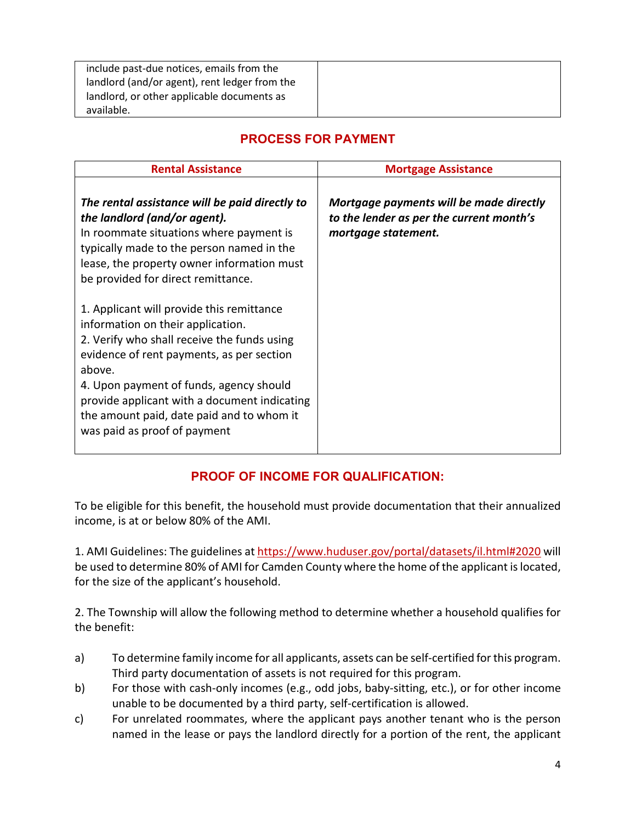| include past-due notices, emails from the     |  |
|-----------------------------------------------|--|
| landlord (and/or agent), rent ledger from the |  |
| landlord, or other applicable documents as    |  |
| available.                                    |  |

## **PROCESS FOR PAYMENT**

| <b>Rental Assistance</b>                                                                                                                                                                                                                                                                                                                                     | <b>Mortgage Assistance</b>                                                                                 |  |  |
|--------------------------------------------------------------------------------------------------------------------------------------------------------------------------------------------------------------------------------------------------------------------------------------------------------------------------------------------------------------|------------------------------------------------------------------------------------------------------------|--|--|
| The rental assistance will be paid directly to<br>the landlord (and/or agent).<br>In roommate situations where payment is<br>typically made to the person named in the<br>lease, the property owner information must<br>be provided for direct remittance.                                                                                                   | Mortgage payments will be made directly<br>to the lender as per the current month's<br>mortgage statement. |  |  |
| 1. Applicant will provide this remittance<br>information on their application.<br>2. Verify who shall receive the funds using<br>evidence of rent payments, as per section<br>above.<br>4. Upon payment of funds, agency should<br>provide applicant with a document indicating<br>the amount paid, date paid and to whom it<br>was paid as proof of payment |                                                                                                            |  |  |

## **PROOF OF INCOME FOR QUALIFICATION:**

To be eligible for this benefit, the household must provide documentation that their annualized income, is at or below 80% of the AMI.

1. AMI Guidelines: The guidelines a[t https://www.huduser.gov/portal/datasets/il.html#2020](https://www.huduser.gov/portal/datasets/il.html#2020) will be used to determine 80% of AMI for Camden County where the home of the applicant is located, for the size of the applicant's household.

2. The Township will allow the following method to determine whether a household qualifies for the benefit:

- a) To determine family income for all applicants, assets can be self-certified for this program. Third party documentation of assets is not required for this program.
- b) For those with cash-only incomes (e.g., odd jobs, baby-sitting, etc.), or for other income unable to be documented by a third party, self-certification is allowed.
- c) For unrelated roommates, where the applicant pays another tenant who is the person named in the lease or pays the landlord directly for a portion of the rent, the applicant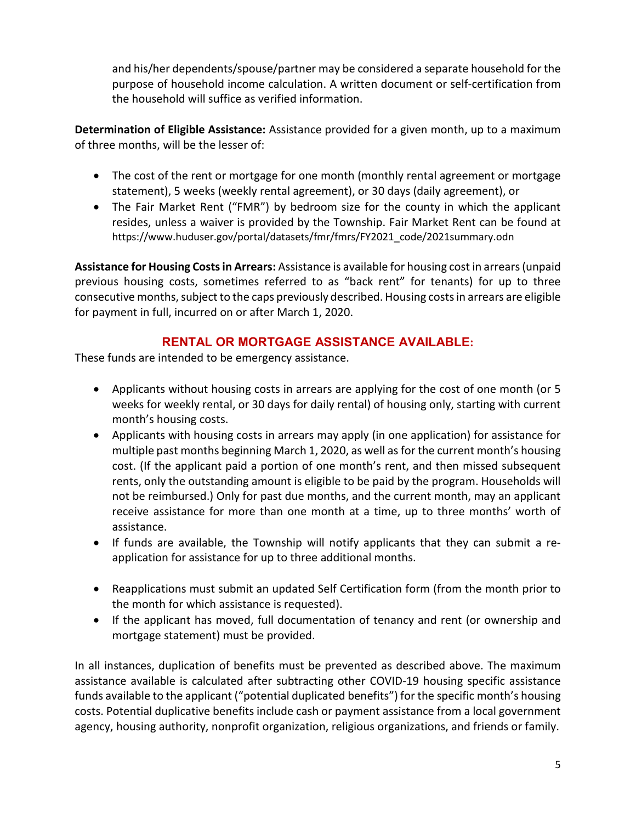and his/her dependents/spouse/partner may be considered a separate household for the purpose of household income calculation. A written document or self-certification from the household will suffice as verified information.

**Determination of Eligible Assistance:** Assistance provided for a given month, up to a maximum of three months, will be the lesser of:

- The cost of the rent or mortgage for one month (monthly rental agreement or mortgage statement), 5 weeks (weekly rental agreement), or 30 days (daily agreement), or
- The Fair Market Rent ("FMR") by bedroom size for the county in which the applicant resides, unless a waiver is provided by the Township. Fair Market Rent can be found at https://www.huduser.gov/portal/datasets/fmr/fmrs/FY2021\_code/2021summary.odn

**Assistance for Housing Costs in Arrears:** Assistance is available for housing cost in arrears (unpaid previous housing costs, sometimes referred to as "back rent" for tenants) for up to three consecutive months, subject to the caps previously described. Housing costs in arrears are eligible for payment in full, incurred on or after March 1, 2020.

#### **RENTAL OR MORTGAGE ASSISTANCE AVAILABLE:**

These funds are intended to be emergency assistance.

- Applicants without housing costs in arrears are applying for the cost of one month (or 5 weeks for weekly rental, or 30 days for daily rental) of housing only, starting with current month's housing costs.
- Applicants with housing costs in arrears may apply (in one application) for assistance for multiple past months beginning March 1, 2020, as well as for the current month's housing cost. (If the applicant paid a portion of one month's rent, and then missed subsequent rents, only the outstanding amount is eligible to be paid by the program. Households will not be reimbursed.) Only for past due months, and the current month, may an applicant receive assistance for more than one month at a time, up to three months' worth of assistance.
- If funds are available, the Township will notify applicants that they can submit a reapplication for assistance for up to three additional months.
- Reapplications must submit an updated Self Certification form (from the month prior to the month for which assistance is requested).
- If the applicant has moved, full documentation of tenancy and rent (or ownership and mortgage statement) must be provided.

In all instances, duplication of benefits must be prevented as described above. The maximum assistance available is calculated after subtracting other COVID-19 housing specific assistance funds available to the applicant ("potential duplicated benefits") for the specific month's housing costs. Potential duplicative benefits include cash or payment assistance from a local government agency, housing authority, nonprofit organization, religious organizations, and friends or family.